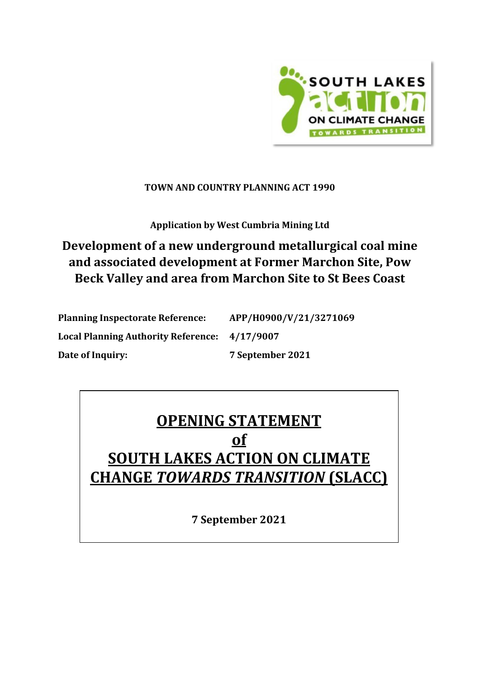

### **TOWN AND COUNTRY PLANNING ACT 1990**

**Application by West Cumbria Mining Ltd**

## **Development of a new underground metallurgical coal mine and associated development at Former Marchon Site, Pow Beck Valley and area from Marchon Site to St Bees Coast**

| <b>Planning Inspectorate Reference:</b>    | APP/H0900/V/21/3271069 |
|--------------------------------------------|------------------------|
| <b>Local Planning Authority Reference:</b> | 4/17/9007              |
| Date of Inquiry:                           | 7 September 2021       |

# **OPENING STATEMENT of SOUTH LAKES ACTION ON CLIMATE CHANGE** *TOWARDS TRANSITION* **(SLACC)**

**7 September 2021**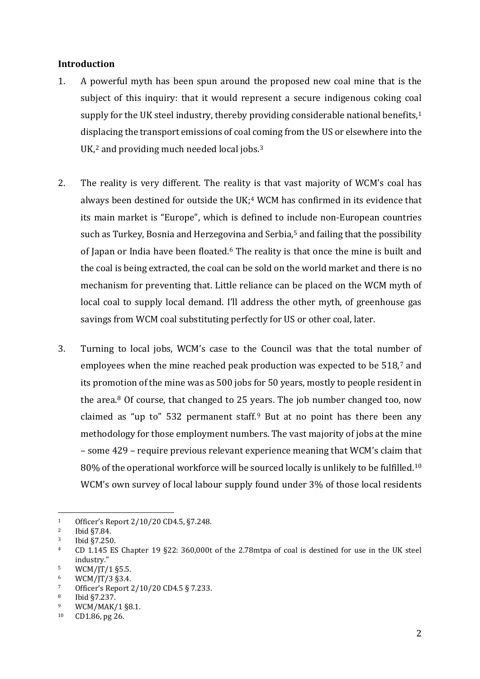#### **Introduction**

- 1. A powerful myth has been spun around the proposed new coal mine that is the subject of this inquiry: that it would represent a secure indigenous coking co[al](#page-1-0) supply for the UK steel industry, thereby providing considerable national benefits, 1 displacing the transport emissions of coal c[om](#page-1-2)ing from the US or elsewhere into the  $UK, 2$  $UK, 2$  and providing much needed local jobs.  $3$
- 2. The reality is very different. The reality is that vast majority of WCM's coal has always been destined for outside the UK;<sup>[4](#page-1-3)</sup> WCM has confirmed in its evidence that its main market is "Europe", which is defined to i[nc](#page-1-4)lude non-European countries such as Turkey, Bosnia and Herzegovina and Serbia, <sup>5</sup> and failing that the possibility of Japan or India have been floated.[6](#page-1-5) The reality is that once the mine is built and the coal is being extracted, the coal can be sold on the world market and there is no mechanism for preventing that. Little reliance can be placed on the WCM myth of local coal to supply local demand. I'll address the other myth, of greenhouse gas savings from WCM coal substituting perfectly for US or other coal, later.
- 3. Turning to local jobs, WCM's case to the Council was that the total number of employees when the mine reached peak production was expected to be 518,[7](#page-1-6) and its promotion of the mine was as 500 jobs for 50 years, mostly to people resident in the area.[8](#page-1-7) Of course, that changed to 25 years. The job number changed too, now claimed as "up to" 532 permanent staff. $9$  But at no point has there been any methodology for those employment numbers. The vast majority of jobs at the mine – some 429 – require previous relevant experience meaning that WCM's claim th[at](#page-1-9)  $80\%$  of the operational workforce will be sourced locally is unlikely to be fulfilled. $^{10}$ WCM's own survey of local labour supply found under 3% of those local residents

<span id="page-1-0"></span><sup>&</sup>lt;sup>1</sup> Officer's Report  $2/10/20$  CD4.5, §7.248.<br><sup>2</sup> Ibid 87.84

<span id="page-1-1"></span><sup>&</sup>lt;sup>2</sup> Ibid  $$7.84$ .

<span id="page-1-2"></span> $\frac{3}{4}$  Ibid §7.250.

<span id="page-1-3"></span><sup>4</sup> CD 1.145 ES Chapter 19 §22: 360,000t of the 2.78mtpa of coal is destined for use in the UK steel industry."

<span id="page-1-4"></span> $\frac{5}{6}$  WCM/JT/1 §5.5.

<span id="page-1-5"></span> $\frac{6}{7}$  WCM/JT/3 §3.4.

<span id="page-1-6"></span><sup>7</sup> Officer's Report  $2/10/20$  CD4.5 § 7.233.<br>8 Ibid  $57.237$ 

<span id="page-1-7"></span> $^{8}$  Ibid §7.237.

<span id="page-1-8"></span> $\frac{9}{10}$  WCM/MAK/1 §8.1.

<span id="page-1-9"></span> $CD1.86$ , pg  $26$ .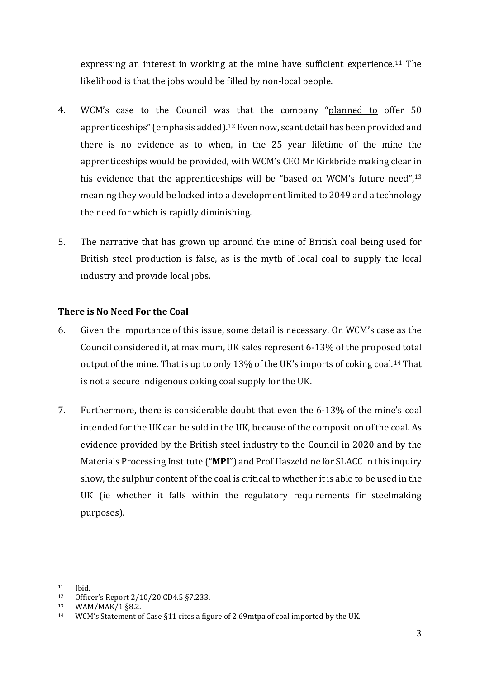expressing an interest in working at the mine have sufficient experience. [11](#page-2-0) The likelihood is that the jobs would be filled by non-local people.

- 4. WCM's case to the Council wa[s](#page-2-1) that the company "planned to offer 50 apprenticeships" (emphasis added). <sup>12</sup> Even now, scant detail has been provided and there is no evidence as to when, in the 25 year lifetime of the mine the apprenticeships would be provided, with WCM's CEO Mr Kirkbride making clear [in](#page-2-2) his evidence that the apprenticeships will be "based on WCM's future need", 13 meaning they would be locked into a development limited to 2049 and a technology the need for which is rapidly diminishing.
- 5. The narrative that has grown up around the mine of British coal being used for British steel production is false, as is the myth of local coal to supply the local industry and provide local jobs.

### **There is No Need For the Coal**

- 6. Given the importance of this issue, some detail is necessary. On WCM's case as the Council considered it, at maximum, UK sales represent 6-13% of the proposed total output of the mine. That is up to only 13% of the UK's imports of coking coal.[14](#page-2-3) That is not a secure indigenous coking coal supply for the UK.
- 7. Furthermore, there is considerable doubt that even the 6-13% of the mine's coal intended for the UK can be sold in the UK, because of the composition of the coal. As evidence provided by the British steel industry to the Council in 2020 and by the Materials Processing Institute ("**MPI**") and Prof Haszeldine for SLACC in this inquiry show, the sulphur content of the coal is critical to whether it is able to be used in the UK (ie whether it falls within the regulatory requirements fir steelmaking purposes).

<span id="page-2-0"></span> $11$  Ibid.<br> $12$  Office

<span id="page-2-2"></span><span id="page-2-1"></span><sup>12</sup> Officer's Report 2/10/20 CD4.5 §7.233.<br>
13 WAM/MAK/1 §8.2.<br>
14 WCM's Statement of Case §11 cites a figure

<span id="page-2-3"></span>WCM's Statement of Case §11 cites a figure of 2.69mtpa of coal imported by the UK.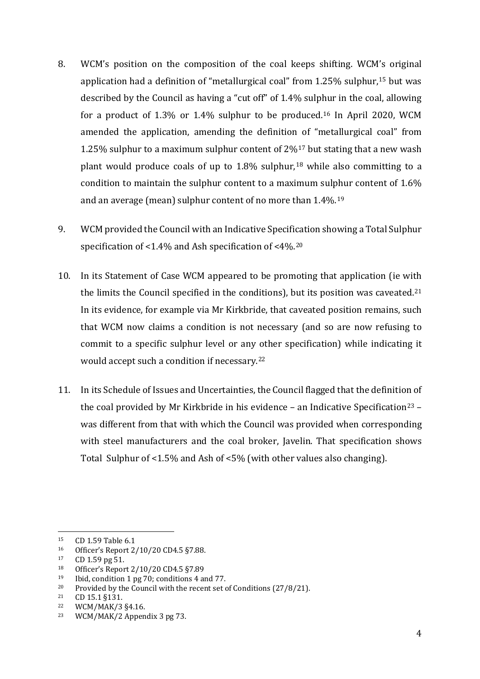- 8. WCM's position on the composition of the coal keeps shifting. WCM's original application had a definition of "metallurgical coal" from  $1.25\%$  sulphur,<sup>[15](#page-3-0)</sup> but was described by the Council as having a "cut off" of 1.4% sulphur in the coal, allowing for a product of 1.3% or 1.4% sulphur to be produced.<sup>[16](#page-3-1)</sup> In April 2020, WCM amended the application, amending the definition of "metallurgical coal" from 1.25% sulphur to a maximum sulphur content of  $2\frac{1}{7}$  but stating that a new wash plant would produce coals of up to  $1.8\%$  sulphur,<sup>[18](#page-3-3)</sup> while also committing to a condition to maintain the sulphur content to a maximum sulphur content of 1.6% and an average (mean) sulphur content of no more than 1.4%.[19](#page-3-4)
- 9. WCM provided the Council with an Indicative Specification showing a Total Sulphur specification of <1.4% and Ash specification of <4%.[20](#page-3-5)
- 10. In its Statement of Case WCM appeared to be promoting that application (ie with the limits the Council specified in the conditions), but its position was caveated[.21](#page-3-6) In its evidence, for example via Mr Kirkbride, that caveated position remains, such that WCM now claims a condition is not necessary (and so are now refusing to commit to a specific sulphur level or any other specification) while indicating it would accept such a condition if necessary.[22](#page-3-7)
- 11. In its Schedule of Issues and Uncertainties, the Council flagged that the definition of the coal provided by Mr Kirkbride in his evidence – an Indicative Specification<sup>[23](#page-3-8)</sup> – was different from that with which the Council was provided when corresponding with steel manufacturers and the coal broker, Javelin. That specification shows Total Sulphur of <1.5% and Ash of <5% (with other values also changing).

<span id="page-3-0"></span><sup>&</sup>lt;sup>15</sup> CD 1.59 Table 6.1<br><sup>16</sup> Officer's Report 2

<span id="page-3-1"></span><sup>16</sup> Officer's Report  $2/10/20$  CD4.5 §7.88.<br>17 CD 1.59 pg 51

<span id="page-3-2"></span> $17$  CD 1.59 pg 51.<br>  $18$  Officer's Report

<span id="page-3-3"></span><sup>&</sup>lt;sup>18</sup> Officer's Report  $2/10/20$  CD4.5 §7.89<br><sup>19</sup> Ibid. condition 1 ng 70; conditions 4 ap

<span id="page-3-4"></span><sup>&</sup>lt;sup>19</sup> Ibid, condition 1 pg 70; conditions 4 and 77.<br><sup>20</sup> Provided by the Council with the recent set of

<span id="page-3-5"></span><sup>&</sup>lt;sup>20</sup> Provided by the Council with the recent set of Conditions (27/8/21).<br><sup>21</sup> CD 15 1 8131

<span id="page-3-6"></span><sup>&</sup>lt;sup>21</sup> CD 15.1 §131.<br><sup>22</sup> WCM/MAK/3

<span id="page-3-7"></span><sup>&</sup>lt;sup>22</sup> WCM/MAK/3  $§4.16$ .<br><sup>23</sup> WCM/MAK/2 Appen

<span id="page-3-8"></span>WCM/MAK/2 Appendix 3 pg 73.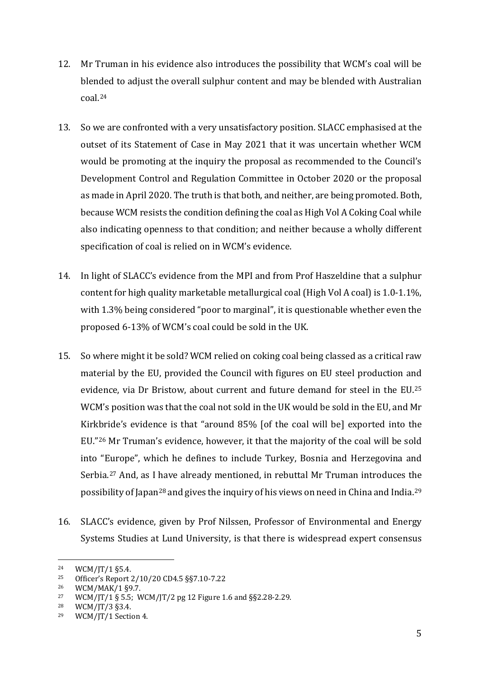- 12. Mr Truman in his evidence also introduces the possibility that WCM's coal will be blended to adjust the overall sulphur content and may be blended with Australian coal.[24](#page-4-0)
- 13. So we are confronted with a very unsatisfactory position. SLACC emphasised at the outset of its Statement of Case in May 2021 that it was uncertain whether WCM would be promoting at the inquiry the proposal as recommended to the Council's Development Control and Regulation Committee in October 2020 or the proposal as made in April 2020. The truth is that both, and neither, are being promoted. Both, because WCM resists the condition defining the coal as High Vol A Coking Coal while also indicating openness to that condition; and neither because a wholly different specification of coal is relied on in WCM's evidence.
- 14. In light of SLACC's evidence from the MPI and from Prof Haszeldine that a sulphur content for high quality marketable metallurgical coal (High Vol A coal) is 1.0-1.1%, with 1.3% being considered "poor to marginal", it is questionable whether even the proposed 6-13% of WCM's coal could be sold in the UK.
- 15. So where might it be sold? WCM relied on coking coal being classed as a critical raw material by the EU, provided the Council with figures on EU steel production a[nd](#page-4-1) evidence, via Dr Bristow, about current and future demand for steel in the EU. 25 WCM's position was that the coal not sold in the UK would be sold in the EU, and Mr Kirkbride's evidence is that "around 85% [of the coal will be] exported into the EU."[26](#page-4-2) Mr Truman's evidence, however, it that the majority of the coal will be sold into "[Eur](#page-4-3)ope", which he defines to include Turkey, Bosnia and Herzegovina and Serbia. <sup>27</sup> And, as I have already mentioned, in rebuttal Mr Truman introduces the possibility of Japan[28](#page-4-4) and gives the inquiry of his views on need in China and India.[29](#page-4-5)
- 16. SLACC's evidence, given by Prof Nilssen, Professor of Environmental and Energy Systems Studies at Lund University, is that there is widespread expert consensus

<span id="page-4-0"></span><sup>&</sup>lt;sup>24</sup> WCM/JT/1  $\S$ 5.4.<br><sup>25</sup> Officer's Report 2

<span id="page-4-1"></span><sup>&</sup>lt;sup>25</sup> Officer's Report 2/10/20 CD4.5 §§7.10-7.22<br><sup>26</sup> WCM/MAK/1 §9.7.

<span id="page-4-3"></span><span id="page-4-2"></span><sup>&</sup>lt;sup>27</sup> WCM/JT/1 § 5.5; WCM/JT/2 pg 12 Figure 1.6 and §§2.28-2.29.<br><sup>28</sup> WCM/JT/3 § 3.4

<span id="page-4-5"></span><span id="page-4-4"></span><sup>&</sup>lt;sup>28</sup> WCM/JT/3  $\S$ 3.4.<br><sup>29</sup> WCM/JT/1 Section

WCM/JT/1 Section 4.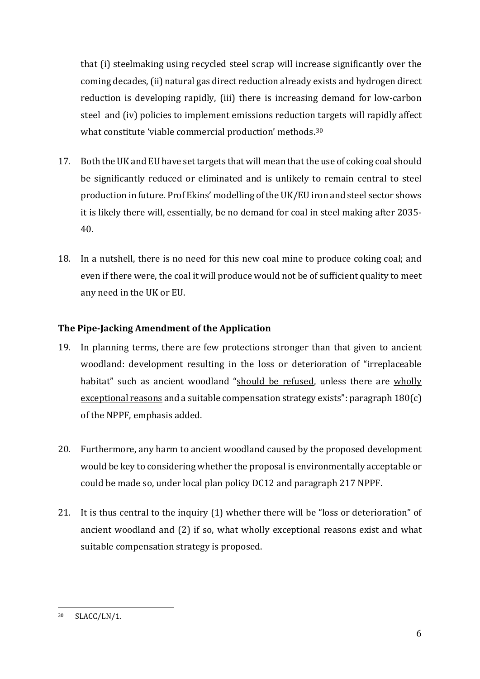that (i) steelmaking using recycled steel scrap will increase significantly over the coming decades, (ii) natural gas direct reduction already exists and hydrogen direct reduction is developing rapidly, (iii) there is increasing demand for low-carbon steel and (iv) policies to implement emissions reduction targets will rapidly affect what constitute 'viable commercial production' methods.[30](#page-5-0)

- 17. Both the UK and EU have set targets that will mean that the use of coking coal should be significantly reduced or eliminated and is unlikely to remain central to steel production in future. Prof Ekins' modelling of the UK/EU iron and steel sector shows it is likely there will, essentially, be no demand for coal in steel making after 2035- 40.
- 18. In a nutshell, there is no need for this new coal mine to produce coking coal; and even if there were, the coal it will produce would not be of sufficient quality to meet any need in the UK or EU.

#### **The Pipe-Jacking Amendment of the Application**

- 19. In planning terms, there are few protections stronger than that given to ancient woodland: development resulting in the loss or deterioration of "irreplaceable habitat" such as ancient woodland "should be refused, unless there are wholly exceptional reasons and a suitable compensation strategy exists": paragraph 180(c) of the NPPF, emphasis added.
- 20. Furthermore, any harm to ancient woodland caused by the proposed development would be key to considering whether the proposal is environmentally acceptable or could be made so, under local plan policy DC12 and paragraph 217 NPPF.
- 21. It is thus central to the inquiry (1) whether there will be "loss or deterioration" of ancient woodland and (2) if so, what wholly exceptional reasons exist and what suitable compensation strategy is proposed.

<span id="page-5-0"></span><sup>30</sup> SLACC/LN/1.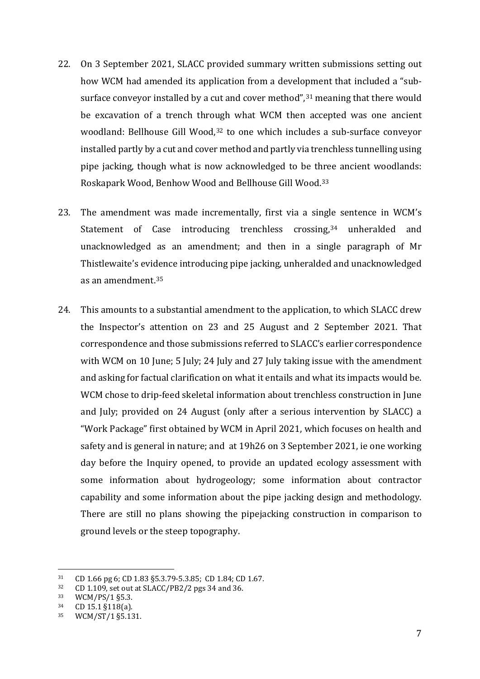- 22. On 3 September 2021, SLACC provided summary written submissions setting out how WCM had amended its application from a development that included a "subsurface conveyor installed by a cut and cover method", $31$  meaning that there would be excavation of a trench through what WCM then accepted was one ancient woodland: Bellhouse Gill Wood,<sup>[32](#page-6-1)</sup> to one which includes a sub-surface conveyor installed partly by a cut and cover method and partly via trenchless tunnelling using pipe jacking, though what is now acknowledged to be three ancient woodlands: Roskapark Wood, Benhow Wood and Bellhouse Gill Wood.[33](#page-6-2)
- 23. The amendment was made incrementally, first via a single sentence in WCM's Statement of Case introducing trenchless crossing,<sup>[34](#page-6-3)</sup> unheralded and unacknowledged as an amendment; and then in a single paragraph of Mr Thistlewaite's evi[den](#page-6-4)ce introducing pipe jacking, unheralded and unacknowledged as an amendment. 35
- 24. This amounts to a substantial amendment to the application, to which SLACC drew the Inspector's attention on 23 and 25 August and 2 September 2021. That correspondence and those submissions referred to SLACC's earlier correspondence with WCM on 10 June; 5 July; 24 July and 27 July taking issue with the amendment and asking for factual clarification on what it entails and what its impacts would be. WCM chose to drip-feed skeletal information about trenchless construction in June and July; provided on 24 August (only after a serious intervention by SLACC) a "Work Package" first obtained by WCM in April 2021, which focuses on health and safety and is general in nature; and at 19h26 on 3 September 2021, ie one working day before the Inquiry opened, to provide an updated ecology assessment with some information about hydrogeology; some information about contractor capability and some information about the pipe jacking design and methodology. There are still no plans showing the pipejacking construction in comparison to ground levels or the steep topography.

<span id="page-6-0"></span> $31$  CD 1.66 pg 6; CD 1.83 §5.3.79-5.3.85; CD 1.84; CD 1.67.<br> $32$  CD 1.109 set out at SLACC/PB2/2 pgs 34 and 36

<span id="page-6-1"></span> $32$  CD 1.109, set out at SLACC/PB2/2 pgs 34 and 36.<br> $33$  WCM/PS/1 85.3

<span id="page-6-2"></span> $33$  WCM/PS/1 §5.3.<br> $34$  CD 15 1 §118(a)

<span id="page-6-3"></span> $^{34}$  CD 15.1 §118(a).<br>
35 M/CM/ST/1 85.13

<span id="page-6-4"></span><sup>35</sup> WCM/ST/1 §5.131.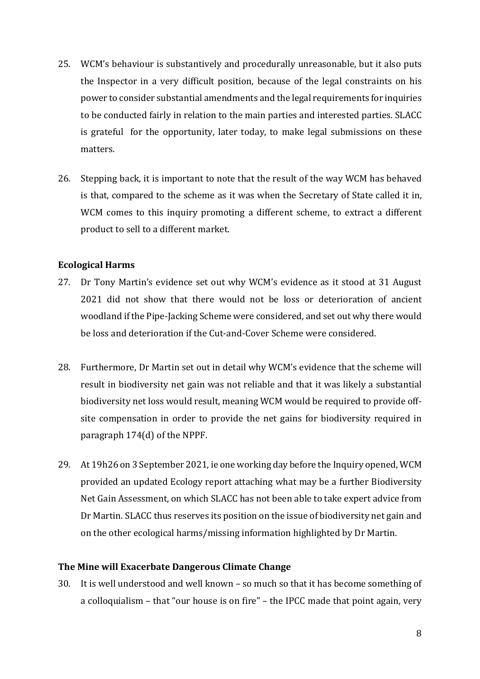- 25. WCM's behaviour is substantively and procedurally unreasonable, but it also puts the Inspector in a very difficult position, because of the legal constraints on his power to consider substantial amendments and the legal requirements for inquiries to be conducted fairly in relation to the main parties and interested parties. SLACC is grateful for the opportunity, later today, to make legal submissions on these matters.
- 26. Stepping back, it is important to note that the result of the way WCM has behaved is that, compared to the scheme as it was when the Secretary of State called it in, WCM comes to this inquiry promoting a different scheme, to extract a different product to sell to a different market.

#### **Ecological Harms**

- 27. Dr Tony Martin's evidence set out why WCM's evidence as it stood at 31 August 2021 did not show that there would not be loss or deterioration of ancient woodland if the Pipe-Jacking Scheme were considered, and set out why there would be loss and deterioration if the Cut-and-Cover Scheme were considered.
- 28. Furthermore, Dr Martin set out in detail why WCM's evidence that the scheme will result in biodiversity net gain was not reliable and that it was likely a substantial biodiversity net loss would result, meaning WCM would be required to provide offsite compensation in order to provide the net gains for biodiversity required in paragraph 174(d) of the NPPF.
- 29. At 19h26 on 3 September 2021, ie one working day before the Inquiry opened, WCM provided an updated Ecology report attaching what may be a further Biodiversity Net Gain Assessment, on which SLACC has not been able to take expert advice from Dr Martin. SLACC thus reserves its position on the issue of biodiversity net gain and on the other ecological harms/missing information highlighted by Dr Martin.

#### **The Mine will Exacerbate Dangerous Climate Change**

30. It is well understood and well known – so much so that it has become something of a colloquialism – that "our house is on fire" – the IPCC made that point again, very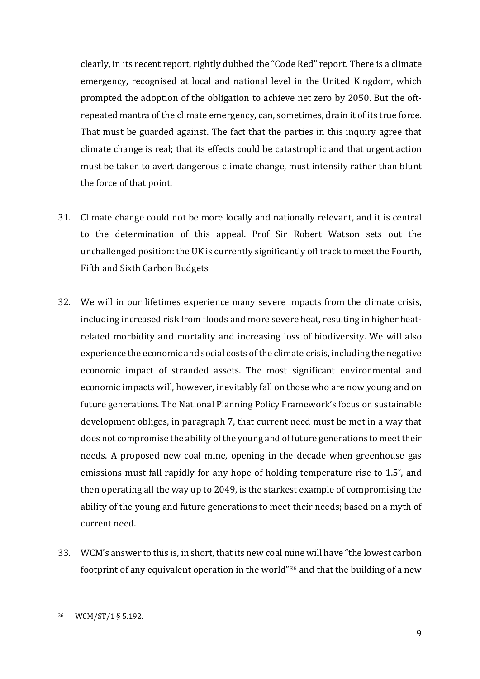clearly, in its recent report, rightly dubbed the "Code Red" report. There is a climate emergency, recognised at local and national level in the United Kingdom, which prompted the adoption of the obligation to achieve net zero by 2050. But the oftrepeated mantra of the climate emergency, can, sometimes, drain it of its true force. That must be guarded against. The fact that the parties in this inquiry agree that climate change is real; that its effects could be catastrophic and that urgent action must be taken to avert dangerous climate change, must intensify rather than blunt the force of that point.

- 31. Climate change could not be more locally and nationally relevant, and it is central to the determination of this appeal. Prof Sir Robert Watson sets out the unchallenged position: the UK is currently significantly off track to meet the Fourth, Fifth and Sixth Carbon Budgets
- 32. We will in our lifetimes experience many severe impacts from the climate crisis, including increased risk from floods and more severe heat, resulting in higher heatrelated morbidity and mortality and increasing loss of biodiversity. We will also experience the economic and social costs of the climate crisis, including the negative economic impact of stranded assets. The most significant environmental and economic impacts will, however, inevitably fall on those who are now young and on future generations. The National Planning Policy Framework's focus on sustainable development obliges, in paragraph 7, that current need must be met in a way that does not compromise the ability of the young and of future generations to meet their needs. A proposed new coal mine, opening in the decade when greenhouse gas emissions must fall rapidly for any hope of holding temperature rise to 1.5˚, and then operating all the way up to 2049, is the starkest example of compromising the ability of the young and future generations to meet their needs; based on a myth of current need.
- 33. WCM's answer to this is, in short, that its new coal mine will have "the lowest carbon footprint of any equivalent operation in the world"[36](#page-8-0) and that the building of a new

<span id="page-8-0"></span><sup>36</sup> WCM/ST/1 § 5.192.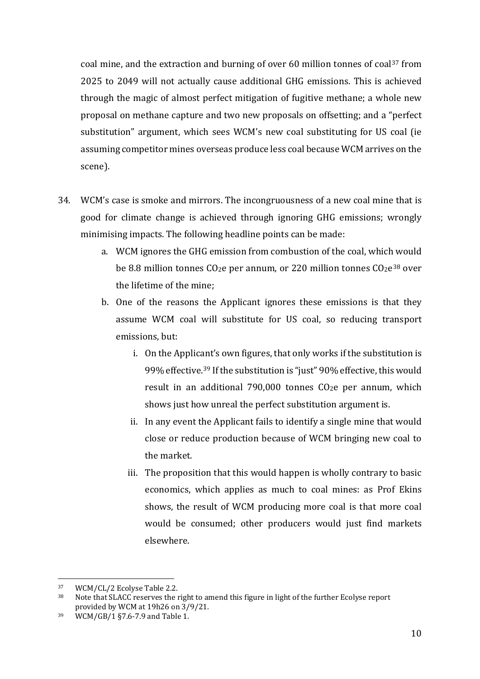coal mine, and the extraction and burning of over 60 million tonnes of coal[37](#page-9-0) from 2025 to 2049 will not actually cause additional GHG emissions. This is achieved through the magic of almost perfect mitigation of fugitive methane; a whole new proposal on methane capture and two new proposals on offsetting; and a "perfect substitution" argument, which sees WCM's new coal substituting for US coal (ie assuming competitor mines overseas produce less coal because WCM arrives on the scene).

- 34. WCM's case is smoke and mirrors. The incongruousness of a new coal mine that is good for climate change is achieved through ignoring GHG emissions; wrongly minimising impacts. The following headline points can be made:
	- a. WCM ignores the GHG emission from combustion of the coal, which would be 8.8 million tonnes  $CO<sub>2</sub>e$  per annum, or 220 million tonnes  $CO<sub>2</sub>e<sup>38</sup>$  $CO<sub>2</sub>e<sup>38</sup>$  $CO<sub>2</sub>e<sup>38</sup>$  over the lifetime of the mine;
	- b. One of the reasons the Applicant ignores these emissions is that they assume WCM coal will substitute for US coal, so reducing transport emissions, but:
		- i. On the Applicant's own figures, that only works if the substitution is 99% effective.[39](#page-9-2) If the substitution is "just" 90% effective, this would result in an additional 790,000 tonnes CO2e per annum, which shows just how unreal the perfect substitution argument is.
		- ii. In any event the Applicant fails to identify a single mine that would close or reduce production because of WCM bringing new coal to the market.
		- iii. The proposition that this would happen is wholly contrary to basic economics, which applies as much to coal mines: as Prof Ekins shows, the result of WCM producing more coal is that more coal would be consumed; other producers would just find markets elsewhere.

<span id="page-9-1"></span><span id="page-9-0"></span> $37$  WCM/CL/2 Ecolyse Table 2.2.<br> $38$  Note that SLACC reserves the r

Note that SLACC reserves the right to amend this figure in light of the further Ecolyse report provided by WCM at 19h26 on 3/9/21.

<span id="page-9-2"></span><sup>39</sup> WCM/GB/1 §7.6-7.9 and Table 1.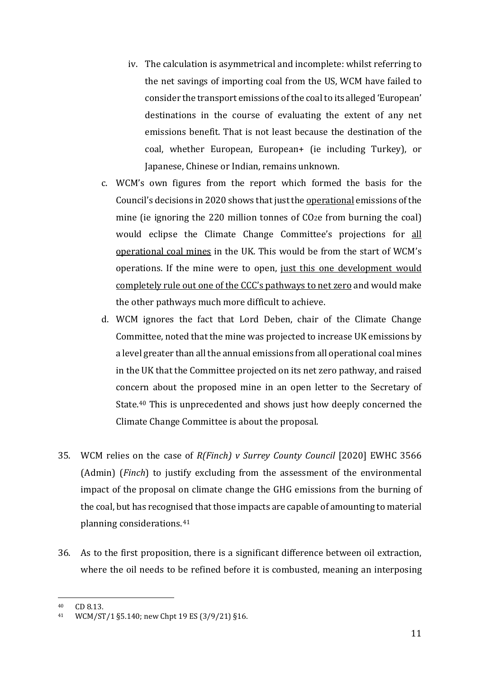- iv. The calculation is asymmetrical and incomplete: whilst referring to the net savings of importing coal from the US, WCM have failed to consider the transport emissions of the coal to its alleged 'European' destinations in the course of evaluating the extent of any net emissions benefit. That is not least because the destination of the coal, whether European, European+ (ie including Turkey), or Japanese, Chinese or Indian, remains unknown.
- c. WCM's own figures from the report which formed the basis for the Council's decisions in 2020 shows that just the operational emissions of the mine (ie ignoring the 220 million tonnes of  $CO<sub>2</sub>e$  from burning the coal) would eclipse the Climate Change Committee's projections for all operational coal mines in the UK. This would be from the start of WCM's operations. If the mine were to open, just this one development would completely rule out one of the CCC's pathways to net zero and would make the other pathways much more difficult to achieve.
- d. WCM ignores the fact that Lord Deben, chair of the Climate Change Committee, noted that the mine was projected to increase UK emissions by a level greater than all the annual emissions from all operational coal mines in the UK that the Committee projected on its net zero pathway, and raised concern about the proposed mine in an open letter to the Secretary of State.[40](#page-10-0) This is unprecedented and shows just how deeply concerned the Climate Change Committee is about the proposal.
- 35. WCM relies on the case of *R(Finch) v Surrey County Council* [2020] EWHC 3566 (Admin) (*Finch*) to justify excluding from the assessment of the environmental impact of the proposal on climate change the GHG emissions from the burning of the coal, but has recognised that those impacts are capable of amounting to material planning considerations.[41](#page-10-1)
- 36. As to the first proposition, there is a significant difference between oil extraction, where the oil needs to be refined before it is combusted, meaning an interposing

<span id="page-10-1"></span><span id="page-10-0"></span><sup>40</sup>  $CD 8.13.$ <br>41  $WCM/ST$ 

WCM/ST/1 §5.140; new Chpt 19 ES (3/9/21) §16.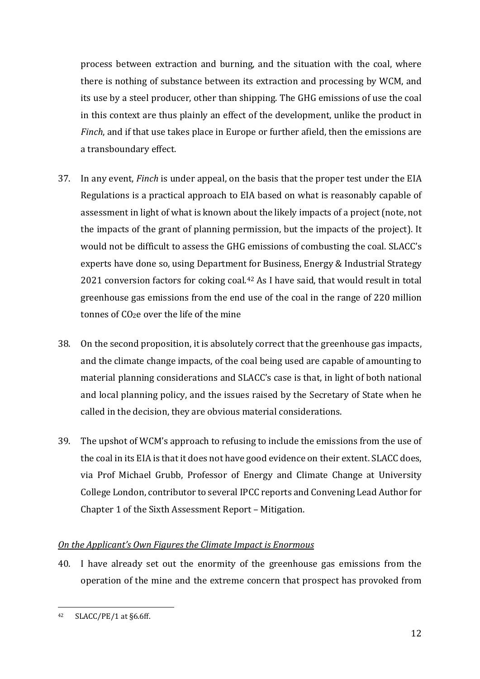process between extraction and burning, and the situation with the coal, where there is nothing of substance between its extraction and processing by WCM, and its use by a steel producer, other than shipping. The GHG emissions of use the coal in this context are thus plainly an effect of the development, unlike the product in *Finch*, and if that use takes place in Europe or further afield, then the emissions are a transboundary effect.

- 37. In any event, *Finch* is under appeal, on the basis that the proper test under the EIA Regulations is a practical approach to EIA based on what is reasonably capable of assessment in light of what is known about the likely impacts of a project (note, not the impacts of the grant of planning permission, but the impacts of the project). It would not be difficult to assess the GHG emissions of combusting the coal. SLACC's experts have done so, using Department for Business, Energy & Industrial Strategy 2021 conversion factors for coking coal.<sup>[42](#page-11-0)</sup> As I have said, that would result in total greenhouse gas emissions from the end use of the coal in the range of 220 million tonnes of CO2e over the life of the mine
- 38. On the second proposition, it is absolutely correct that the greenhouse gas impacts, and the climate change impacts, of the coal being used are capable of amounting to material planning considerations and SLACC's case is that, in light of both national and local planning policy, and the issues raised by the Secretary of State when he called in the decision, they are obvious material considerations.
- 39. The upshot of WCM's approach to refusing to include the emissions from the use of the coal in its EIA is that it does not have good evidence on their extent. SLACC does, via Prof Michael Grubb, Professor of Energy and Climate Change at University College London, contributor to several IPCC reports and Convening Lead Author for Chapter 1 of the Sixth Assessment Report – Mitigation.

#### *On the Applicant's Own Figures the Climate Impact is Enormous*

40. I have already set out the enormity of the greenhouse gas emissions from the operation of the mine and the extreme concern that prospect has provoked from

<span id="page-11-0"></span> $42$  SLACC/PE/1 at §6.6ff.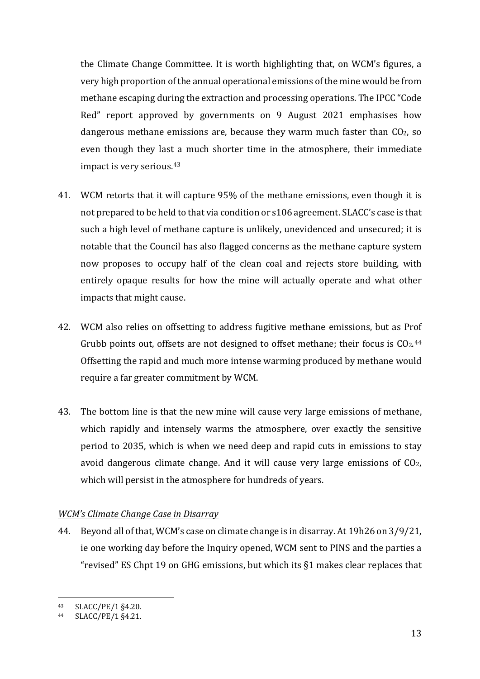the Climate Change Committee. It is worth highlighting that, on WCM's figures, a very high proportion of the annual operational emissions of the mine would be from methane escaping during the extraction and processing operations. The IPCC "Code Red" report approved by governments on 9 August 2021 emphasises how dangerous methane emissions are, because they warm much faster than CO2, so even though they last a much shorter time in the atmosphere, their immediate impact is very serious.[43](#page-12-0)

- 41. WCM retorts that it will capture 95% of the methane emissions, even though it is not prepared to be held to that via condition or s106 agreement. SLACC's case is that such a high level of methane capture is unlikely, unevidenced and unsecured; it is notable that the Council has also flagged concerns as the methane capture system now proposes to occupy half of the clean coal and rejects store building, with entirely opaque results for how the mine will actually operate and what other impacts that might cause.
- 42. WCM also relies on offsetting to address fugitive methane emissions, but as Prof Grubb points out, offsets are not designed to offset methane; their focus is  $CO<sub>2</sub>$ .<sup>[44](#page-12-1)</sup> Offsetting the rapid and much more intense warming produced by methane would require a far greater commitment by WCM.
- 43. The bottom line is that the new mine will cause very large emissions of methane, which rapidly and intensely warms the atmosphere, over exactly the sensitive period to 2035, which is when we need deep and rapid cuts in emissions to stay avoid dangerous climate change. And it will cause very large emissions of CO2, which will persist in the atmosphere for hundreds of years.

#### *WCM's Climate Change Case in Disarray*

44. Beyond all of that, WCM's case on climate change is in disarray. At 19h26 on 3/9/21, ie one working day before the Inquiry opened, WCM sent to PINS and the parties a "revised" ES Chpt 19 on GHG emissions, but which its §1 makes clear replaces that

<span id="page-12-1"></span><span id="page-12-0"></span> $\frac{43}{44}$  SLACC/PE/1 §4.20.

SLACC/PE/1 §4.21.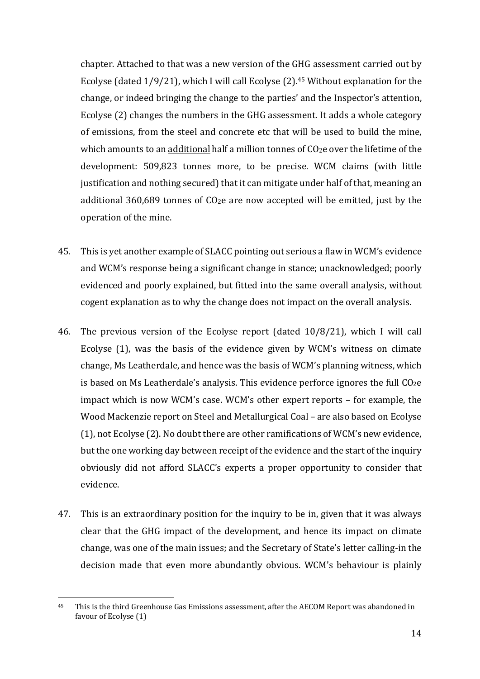chapter. Attached to that was a new version of the GHG assessment carried out by Ecolyse (dated  $1/9/21$ ), which I will call Ecolyse (2).<sup>[45](#page-13-0)</sup> Without explanation for the change, or indeed bringing the change to the parties' and the Inspector's attention, Ecolyse (2) changes the numbers in the GHG assessment. It adds a whole category of emissions, from the steel and concrete etc that will be used to build the mine, which amounts to an additional half a million tonnes of CO2e over the lifetime of the development: 509,823 tonnes more, to be precise. WCM claims (with little justification and nothing secured) that it can mitigate under half of that, meaning an additional 360,689 tonnes of CO2e are now accepted will be emitted, just by the operation of the mine.

- 45. This is yet another example of SLACC pointing out serious a flaw in WCM's evidence and WCM's response being a significant change in stance; unacknowledged; poorly evidenced and poorly explained, but fitted into the same overall analysis, without cogent explanation as to why the change does not impact on the overall analysis.
- 46. The previous version of the Ecolyse report (dated 10/8/21), which I will call Ecolyse (1), was the basis of the evidence given by WCM's witness on climate change, Ms Leatherdale, and hence was the basis of WCM's planning witness, which is based on Ms Leatherdale's analysis. This evidence perforce ignores the full  $\rm CO_{2}e$ impact which is now WCM's case. WCM's other expert reports – for example, the Wood Mackenzie report on Steel and Metallurgical Coal – are also based on Ecolyse (1), not Ecolyse (2). No doubt there are other ramifications of WCM's new evidence, but the one working day between receipt of the evidence and the start of the inquiry obviously did not afford SLACC's experts a proper opportunity to consider that evidence.
- 47. This is an extraordinary position for the inquiry to be in, given that it was always clear that the GHG impact of the development, and hence its impact on climate change, was one of the main issues; and the Secretary of State's letter calling-in the decision made that even more abundantly obvious. WCM's behaviour is plainly

<span id="page-13-0"></span><sup>45</sup> This is the third Greenhouse Gas Emissions assessment, after the AECOM Report was abandoned in favour of Ecolyse (1)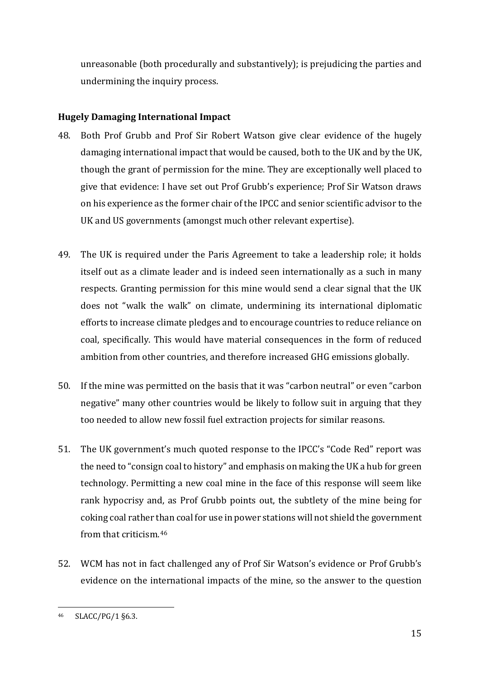unreasonable (both procedurally and substantively); is prejudicing the parties and undermining the inquiry process.

### **Hugely Damaging International Impact**

- 48. Both Prof Grubb and Prof Sir Robert Watson give clear evidence of the hugely damaging international impact that would be caused, both to the UK and by the UK, though the grant of permission for the mine. They are exceptionally well placed to give that evidence: I have set out Prof Grubb's experience; Prof Sir Watson draws on his experience as the former chair of the IPCC and senior scientific advisor to the UK and US governments (amongst much other relevant expertise).
- 49. The UK is required under the Paris Agreement to take a leadership role; it holds itself out as a climate leader and is indeed seen internationally as a such in many respects. Granting permission for this mine would send a clear signal that the UK does not "walk the walk" on climate, undermining its international diplomatic efforts to increase climate pledges and to encourage countries to reduce reliance on coal, specifically. This would have material consequences in the form of reduced ambition from other countries, and therefore increased GHG emissions globally.
- 50. If the mine was permitted on the basis that it was "carbon neutral" or even "carbon negative" many other countries would be likely to follow suit in arguing that they too needed to allow new fossil fuel extraction projects for similar reasons.
- 51. The UK government's much quoted response to the IPCC's "Code Red" report was the need to "consign coal to history" and emphasis on making the UK a hub for green technology. Permitting a new coal mine in the face of this response will seem like rank hypocrisy and, as Prof Grubb points out, the subtlety of the mine being for coking coal rather than coal for use in power stations will not shield the government from that criticism.[46](#page-14-0)
- 52. WCM has not in fact challenged any of Prof Sir Watson's evidence or Prof Grubb's evidence on the international impacts of the mine, so the answer to the question

<span id="page-14-0"></span><sup>46</sup> SLACC/PG/1 §6.3.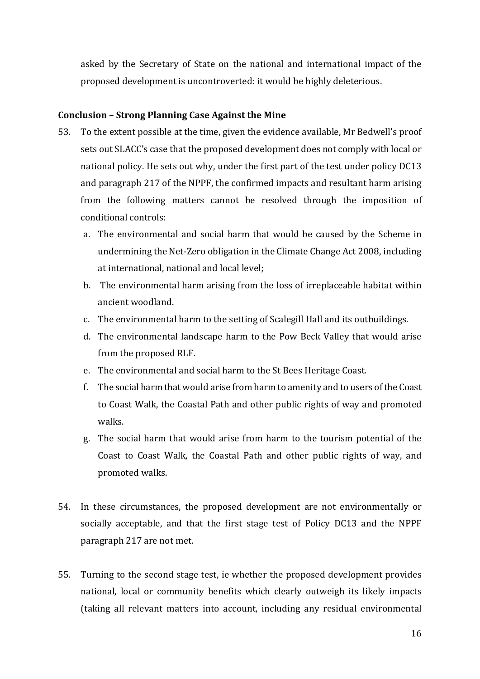asked by the Secretary of State on the national and international impact of the proposed development is uncontroverted: it would be highly deleterious.

#### **Conclusion – Strong Planning Case Against the Mine**

- 53. To the extent possible at the time, given the evidence available, Mr Bedwell's proof sets out SLACC's case that the proposed development does not comply with local or national policy. He sets out why, under the first part of the test under policy DC13 and paragraph 217 of the NPPF, the confirmed impacts and resultant harm arising from the following matters cannot be resolved through the imposition of conditional controls:
	- a. The environmental and social harm that would be caused by the Scheme in undermining the Net-Zero obligation in the Climate Change Act 2008, including at international, national and local level;
	- b. The environmental harm arising from the loss of irreplaceable habitat within ancient woodland.
	- c. The environmental harm to the setting of Scalegill Hall and its outbuildings.
	- d. The environmental landscape harm to the Pow Beck Valley that would arise from the proposed RLF.
	- e. The environmental and social harm to the St Bees Heritage Coast.
	- f. The social harm that would arise from harm to amenity and to users of the Coast to Coast Walk, the Coastal Path and other public rights of way and promoted walks.
	- g. The social harm that would arise from harm to the tourism potential of the Coast to Coast Walk, the Coastal Path and other public rights of way, and promoted walks.
- 54. In these circumstances, the proposed development are not environmentally or socially acceptable, and that the first stage test of Policy DC13 and the NPPF paragraph 217 are not met.
- 55. Turning to the second stage test, ie whether the proposed development provides national, local or community benefits which clearly outweigh its likely impacts (taking all relevant matters into account, including any residual environmental